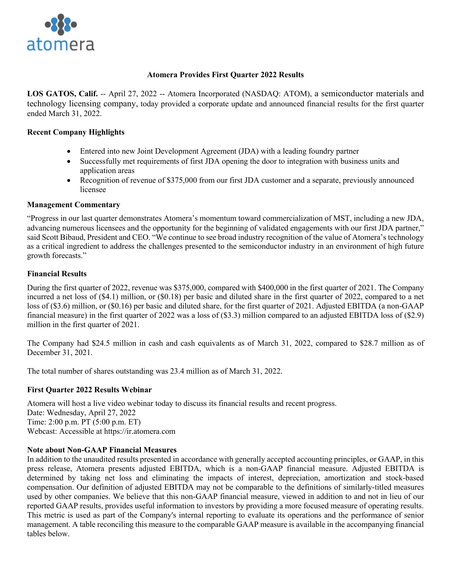

## **Atomera Provides First Quarter 2022 Results**

**LOS GATOS, Calif.** -- April 27, 2022 -- Atomera Incorporated (NASDAQ: ATOM), a semiconductor materials and technology licensing company, today provided a corporate update and announced financial results for the first quarter ended March 31, 2022.

## **Recent Company Highlights**

- Entered into new Joint Development Agreement (JDA) with a leading foundry partner
- Successfully met requirements of first JDA opening the door to integration with business units and application areas
- Recognition of revenue of \$375,000 from our first JDA customer and a separate, previously announced licensee

### **Management Commentary**

"Progress in our last quarter demonstrates Atomera's momentum toward commercialization of MST, including a new JDA, advancing numerous licensees and the opportunity for the beginning of validated engagements with our first JDA partner," said Scott Bibaud, President and CEO. "We continue to see broad industry recognition of the value of Atomera's technology as a critical ingredient to address the challenges presented to the semiconductor industry in an environment of high future growth forecasts."

## **Financial Results**

During the first quarter of 2022, revenue was \$375,000, compared with \$400,000 in the first quarter of 2021. The Company incurred a net loss of (\$4.1) million, or (\$0.18) per basic and diluted share in the first quarter of 2022, compared to a net loss of (\$3.6) million, or (\$0.16) per basic and diluted share, for the first quarter of 2021. Adjusted EBITDA (a non-GAAP financial measure) in the first quarter of 2022 was a loss of (\$3.3) million compared to an adjusted EBITDA loss of (\$2.9) million in the first quarter of 2021.

The Company had \$24.5 million in cash and cash equivalents as of March 31, 2022, compared to \$28.7 million as of December 31, 2021.

The total number of shares outstanding was 23.4 million as of March 31, 2022.

# **First Quarter 2022 Results Webinar**

Atomera will host a live video webinar today to discuss its financial results and recent progress. Date: Wednesday, April 27, 2022 Time: 2:00 p.m. PT (5:00 p.m. ET) Webcast: Accessible at https://ir.atomera.com

### **Note about Non-GAAP Financial Measures**

In addition to the unaudited results presented in accordance with generally accepted accounting principles, or GAAP, in this press release, Atomera presents adjusted EBITDA, which is a non-GAAP financial measure. Adjusted EBITDA is determined by taking net loss and eliminating the impacts of interest, depreciation, amortization and stock-based compensation. Our definition of adjusted EBITDA may not be comparable to the definitions of similarly-titled measures used by other companies. We believe that this non-GAAP financial measure, viewed in addition to and not in lieu of our reported GAAP results, provides useful information to investors by providing a more focused measure of operating results. This metric is used as part of the Company's internal reporting to evaluate its operations and the performance of senior management. A table reconciling this measure to the comparable GAAP measure is available in the accompanying financial tables below.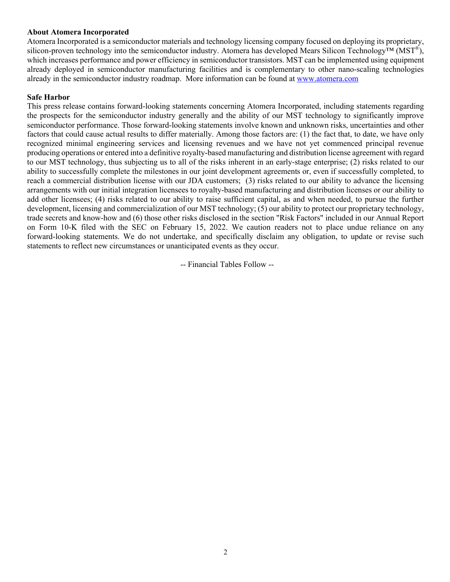### **About Atomera Incorporated**

Atomera Incorporated is a semiconductor materials and technology licensing company focused on deploying its proprietary, silicon-proven technology into the semiconductor industry. Atomera has developed Mears Silicon Technology™ ( $MST^®$ ), which increases performance and power efficiency in semiconductor transistors. MST can be implemented using equipment already deployed in semiconductor manufacturing facilities and is complementary to other nano-scaling technologies already in the semiconductor industry roadmap. More information can be found at www.atomera.com

### **Safe Harbor**

This press release contains forward-looking statements concerning Atomera Incorporated, including statements regarding the prospects for the semiconductor industry generally and the ability of our MST technology to significantly improve semiconductor performance. Those forward-looking statements involve known and unknown risks, uncertainties and other factors that could cause actual results to differ materially. Among those factors are: (1) the fact that, to date, we have only recognized minimal engineering services and licensing revenues and we have not yet commenced principal revenue producing operations or entered into a definitive royalty-based manufacturing and distribution license agreement with regard to our MST technology, thus subjecting us to all of the risks inherent in an early-stage enterprise; (2) risks related to our ability to successfully complete the milestones in our joint development agreements or, even if successfully completed, to reach a commercial distribution license with our JDA customers; (3) risks related to our ability to advance the licensing arrangements with our initial integration licensees to royalty-based manufacturing and distribution licenses or our ability to add other licensees; (4) risks related to our ability to raise sufficient capital, as and when needed, to pursue the further development, licensing and commercialization of our MST technology; (5) our ability to protect our proprietary technology, trade secrets and know-how and (6) those other risks disclosed in the section "Risk Factors" included in our Annual Report on Form 10-K filed with the SEC on February 15, 2022. We caution readers not to place undue reliance on any forward-looking statements. We do not undertake, and specifically disclaim any obligation, to update or revise such statements to reflect new circumstances or unanticipated events as they occur.

-- Financial Tables Follow --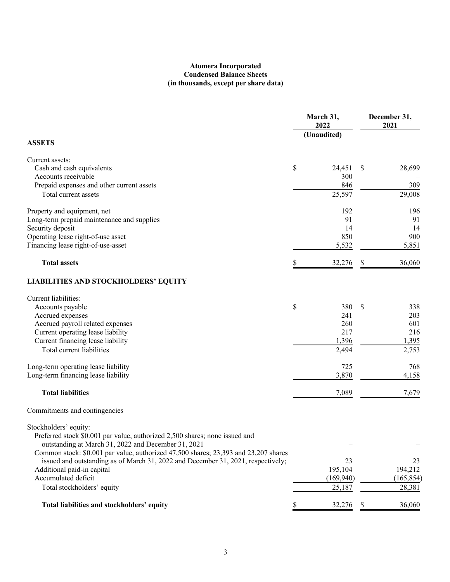### **Atomera Incorporated Condensed Balance Sheets (in thousands, except per share data)**

|                                                                                                                                                                         |    | March 31,<br>2022 |    | December 31,<br>2021 |  |
|-------------------------------------------------------------------------------------------------------------------------------------------------------------------------|----|-------------------|----|----------------------|--|
|                                                                                                                                                                         |    | (Unaudited)       |    |                      |  |
| <b>ASSETS</b>                                                                                                                                                           |    |                   |    |                      |  |
| Current assets:                                                                                                                                                         |    |                   |    |                      |  |
| Cash and cash equivalents                                                                                                                                               | \$ | 24,451            | \$ | 28,699               |  |
| Accounts receivable                                                                                                                                                     |    | 300               |    |                      |  |
| Prepaid expenses and other current assets                                                                                                                               |    | 846               |    | 309                  |  |
| Total current assets                                                                                                                                                    |    | 25,597            |    | 29,008               |  |
| Property and equipment, net                                                                                                                                             |    | 192               |    | 196                  |  |
| Long-term prepaid maintenance and supplies                                                                                                                              |    | 91                |    | 91                   |  |
| Security deposit                                                                                                                                                        |    | 14                |    | 14                   |  |
| Operating lease right-of-use asset                                                                                                                                      |    | 850               |    | 900                  |  |
| Financing lease right-of-use-asset                                                                                                                                      |    | 5,532             |    | 5,851                |  |
| <b>Total assets</b>                                                                                                                                                     |    | 32,276            | S  | 36,060               |  |
| <b>LIABILITIES AND STOCKHOLDERS' EQUITY</b>                                                                                                                             |    |                   |    |                      |  |
| Current liabilities:                                                                                                                                                    |    |                   |    |                      |  |
| Accounts payable                                                                                                                                                        | \$ | 380               | S  | 338                  |  |
| Accrued expenses                                                                                                                                                        |    | 241               |    | 203                  |  |
| Accrued payroll related expenses                                                                                                                                        |    | 260               |    | 601                  |  |
| Current operating lease liability                                                                                                                                       |    | 217               |    | 216                  |  |
| Current financing lease liability                                                                                                                                       |    | 1,396             |    | 1,395                |  |
| Total current liabilities                                                                                                                                               |    | 2,494             |    | 2,753                |  |
| Long-term operating lease liability                                                                                                                                     |    | 725               |    | 768                  |  |
| Long-term financing lease liability                                                                                                                                     |    | 3,870             |    | 4,158                |  |
| <b>Total liabilities</b>                                                                                                                                                |    | 7,089             |    | 7,679                |  |
| Commitments and contingencies                                                                                                                                           |    |                   |    |                      |  |
| Stockholders' equity:                                                                                                                                                   |    |                   |    |                      |  |
| Preferred stock \$0.001 par value, authorized 2,500 shares; none issued and                                                                                             |    |                   |    |                      |  |
| outstanding at March 31, 2022 and December 31, 2021                                                                                                                     |    |                   |    |                      |  |
| Common stock: \$0.001 par value, authorized 47,500 shares; 23,393 and 23,207 shares<br>issued and outstanding as of March 31, 2022 and December 31, 2021, respectively; |    | 23                |    | 23                   |  |
| Additional paid-in capital                                                                                                                                              |    | 195,104           |    | 194,212              |  |
| Accumulated deficit                                                                                                                                                     |    | (169, 940)        |    | (165, 854)           |  |
| Total stockholders' equity                                                                                                                                              |    | 25,187            |    |                      |  |
|                                                                                                                                                                         |    |                   |    | 28,381               |  |
| Total liabilities and stockholders' equity                                                                                                                              |    | 32,276            |    | 36,060               |  |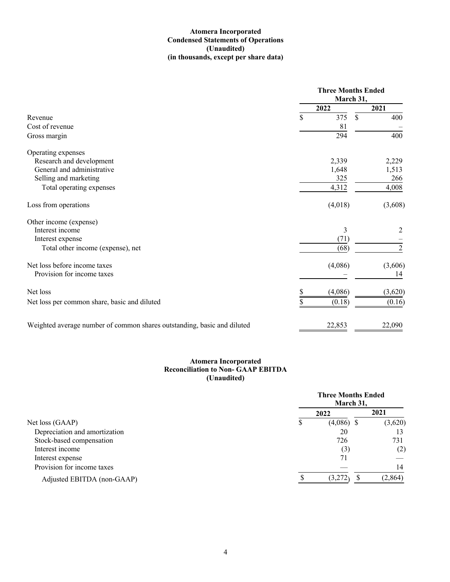#### **Atomera Incorporated Condensed Statements of Operations (Unaudited) (in thousands, except per share data)**

|                                                                         |    | <b>Three Months Ended</b><br>March 31, |               |                |  |
|-------------------------------------------------------------------------|----|----------------------------------------|---------------|----------------|--|
|                                                                         |    | 2022                                   |               | 2021           |  |
| Revenue                                                                 | \$ | 375                                    | <sup>\$</sup> | 400            |  |
| Cost of revenue                                                         |    | 81                                     |               |                |  |
| Gross margin                                                            |    | 294                                    |               | 400            |  |
| Operating expenses                                                      |    |                                        |               |                |  |
| Research and development                                                |    | 2,339                                  |               | 2,229          |  |
| General and administrative                                              |    | 1,648                                  |               | 1,513          |  |
| Selling and marketing                                                   |    | 325                                    |               | 266            |  |
| Total operating expenses                                                |    | 4,312                                  |               | 4,008          |  |
| Loss from operations                                                    |    | (4,018)                                |               | (3,608)        |  |
| Other income (expense)                                                  |    |                                        |               |                |  |
| Interest income                                                         |    | 3                                      |               | 2              |  |
| Interest expense                                                        |    | (71)                                   |               |                |  |
| Total other income (expense), net                                       |    | (68)                                   |               | $\overline{2}$ |  |
| Net loss before income taxes                                            |    | (4,086)                                |               | (3,606)        |  |
| Provision for income taxes                                              |    |                                        |               | 14             |  |
| Net loss                                                                | \$ | (4,086)                                |               | (3,620)        |  |
| Net loss per common share, basic and diluted                            | \$ | (0.18)                                 |               | (0.16)         |  |
| Weighted average number of common shares outstanding, basic and diluted |    | 22,853                                 |               | 22,090         |  |

#### **Atomera Incorporated Reconciliation to Non- GAAP EBITDA (Unaudited)**

|                               |   | <b>Three Months Ended</b><br>March 31, |         |  |  |
|-------------------------------|---|----------------------------------------|---------|--|--|
|                               |   | 2022                                   | 2021    |  |  |
| Net loss (GAAP)               | D | $(4,086)$ \$                           | (3,620) |  |  |
| Depreciation and amortization |   | 20                                     | 13      |  |  |
| Stock-based compensation      |   | 726                                    | 731     |  |  |
| Interest income               |   | (3)                                    | (2)     |  |  |
| Interest expense              |   | 71                                     |         |  |  |
| Provision for income taxes    |   |                                        | 14      |  |  |
| Adjusted EBITDA (non-GAAP)    |   | (3.272)                                | (2,864) |  |  |